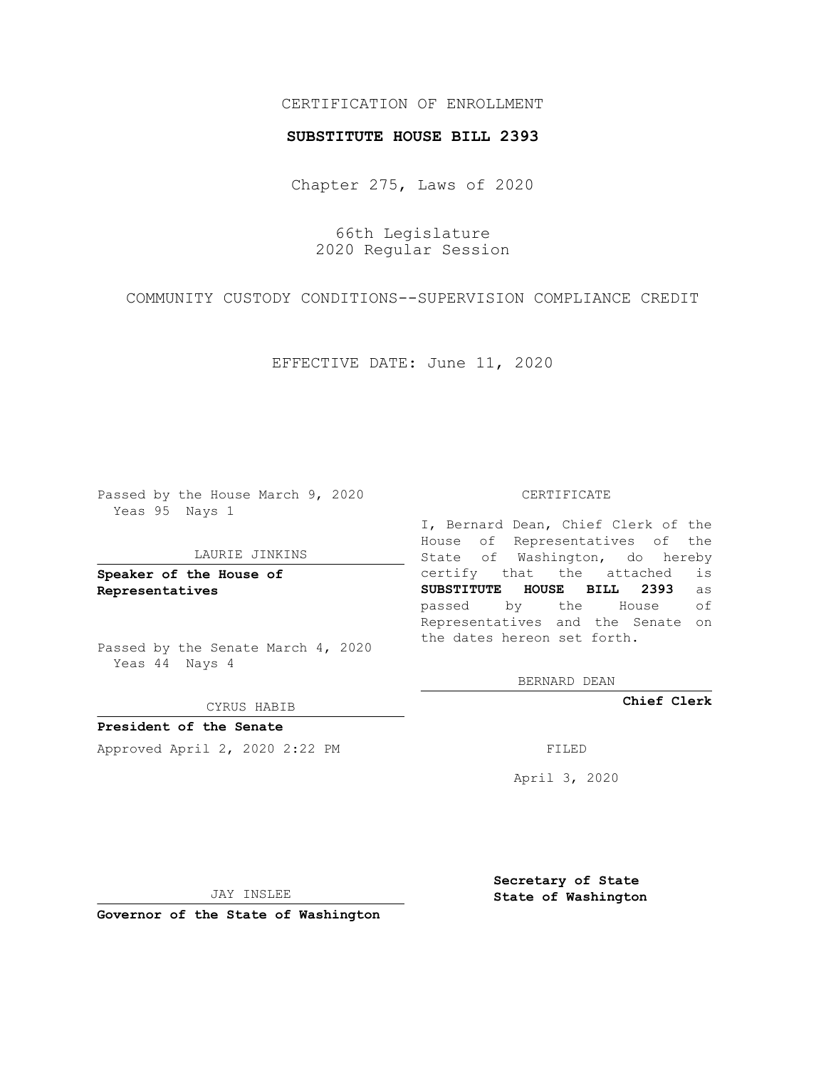## CERTIFICATION OF ENROLLMENT

### **SUBSTITUTE HOUSE BILL 2393**

Chapter 275, Laws of 2020

66th Legislature 2020 Regular Session

COMMUNITY CUSTODY CONDITIONS--SUPERVISION COMPLIANCE CREDIT

EFFECTIVE DATE: June 11, 2020

Passed by the House March 9, 2020 Yeas 95 Nays 1

#### LAURIE JINKINS

**Speaker of the House of Representatives**

Passed by the Senate March 4, 2020 Yeas 44 Nays 4

#### CYRUS HABIB

**President of the Senate** Approved April 2, 2020 2:22 PM

#### CERTIFICATE

I, Bernard Dean, Chief Clerk of the House of Representatives of the State of Washington, do hereby certify that the attached is **SUBSTITUTE HOUSE BILL 2393** as passed by the House of Representatives and the Senate on the dates hereon set forth.

BERNARD DEAN

**Chief Clerk**

April 3, 2020

JAY INSLEE

**Governor of the State of Washington**

**Secretary of State State of Washington**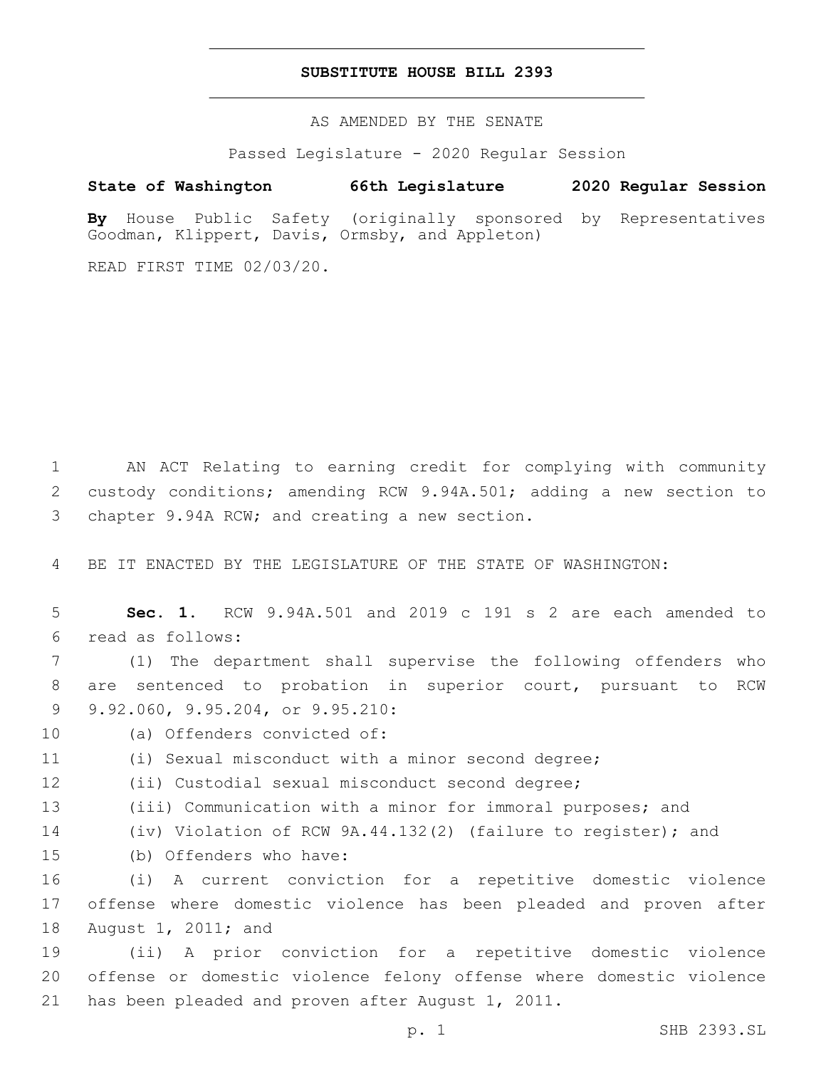## **SUBSTITUTE HOUSE BILL 2393**

AS AMENDED BY THE SENATE

Passed Legislature - 2020 Regular Session

# **State of Washington 66th Legislature 2020 Regular Session**

**By** House Public Safety (originally sponsored by Representatives Goodman, Klippert, Davis, Ormsby, and Appleton)

READ FIRST TIME 02/03/20.

1 AN ACT Relating to earning credit for complying with community 2 custody conditions; amending RCW 9.94A.501; adding a new section to 3 chapter 9.94A RCW; and creating a new section.

4 BE IT ENACTED BY THE LEGISLATURE OF THE STATE OF WASHINGTON:

5 **Sec. 1.** RCW 9.94A.501 and 2019 c 191 s 2 are each amended to read as follows:6

7 (1) The department shall supervise the following offenders who 8 are sentenced to probation in superior court, pursuant to RCW 9 9.92.060, 9.95.204, or 9.95.210:

- 10 (a) Offenders convicted of:
- 11 (i) Sexual misconduct with a minor second degree;

12 (ii) Custodial sexual misconduct second degree;

- 13 (iii) Communication with a minor for immoral purposes; and
- 14 (iv) Violation of RCW 9A.44.132(2) (failure to register); and
- 15 (b) Offenders who have:

16 (i) A current conviction for a repetitive domestic violence 17 offense where domestic violence has been pleaded and proven after 18 August 1, 2011; and

19 (ii) A prior conviction for a repetitive domestic violence 20 offense or domestic violence felony offense where domestic violence 21 has been pleaded and proven after August 1, 2011.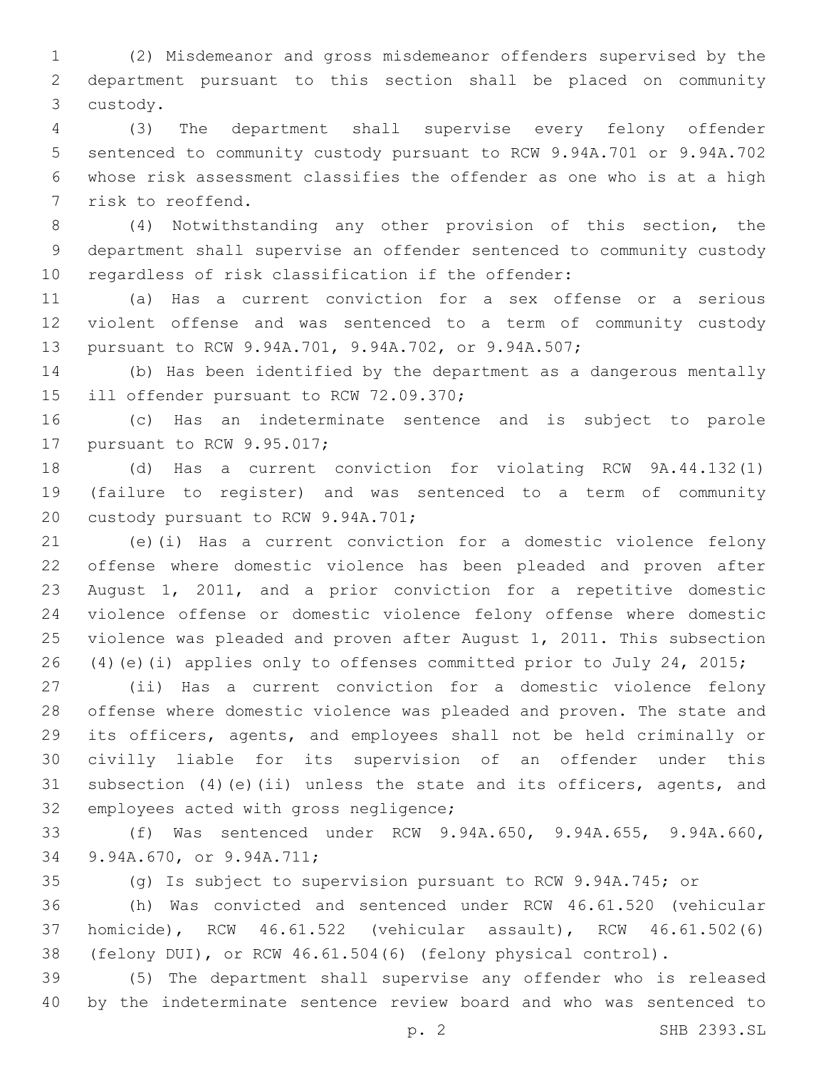(2) Misdemeanor and gross misdemeanor offenders supervised by the department pursuant to this section shall be placed on community custody.3

 (3) The department shall supervise every felony offender sentenced to community custody pursuant to RCW 9.94A.701 or 9.94A.702 whose risk assessment classifies the offender as one who is at a high 7 risk to reoffend.

 (4) Notwithstanding any other provision of this section, the department shall supervise an offender sentenced to community custody regardless of risk classification if the offender:

 (a) Has a current conviction for a sex offense or a serious violent offense and was sentenced to a term of community custody pursuant to RCW 9.94A.701, 9.94A.702, or 9.94A.507;

 (b) Has been identified by the department as a dangerous mentally 15 ill offender pursuant to RCW 72.09.370;

 (c) Has an indeterminate sentence and is subject to parole 17 pursuant to RCW 9.95.017;

 (d) Has a current conviction for violating RCW 9A.44.132(1) (failure to register) and was sentenced to a term of community 20 custody pursuant to RCW 9.94A.701;

 (e)(i) Has a current conviction for a domestic violence felony offense where domestic violence has been pleaded and proven after August 1, 2011, and a prior conviction for a repetitive domestic violence offense or domestic violence felony offense where domestic violence was pleaded and proven after August 1, 2011. This subsection (4)(e)(i) applies only to offenses committed prior to July 24, 2015;

 (ii) Has a current conviction for a domestic violence felony offense where domestic violence was pleaded and proven. The state and its officers, agents, and employees shall not be held criminally or civilly liable for its supervision of an offender under this subsection (4)(e)(ii) unless the state and its officers, agents, and 32 employees acted with gross negligence;

 (f) Was sentenced under RCW 9.94A.650, 9.94A.655, 9.94A.660, 9.94A.670, or 9.94A.711;34

(g) Is subject to supervision pursuant to RCW 9.94A.745; or

 (h) Was convicted and sentenced under RCW 46.61.520 (vehicular homicide), RCW 46.61.522 (vehicular assault), RCW 46.61.502(6) (felony DUI), or RCW 46.61.504(6) (felony physical control).

 (5) The department shall supervise any offender who is released by the indeterminate sentence review board and who was sentenced to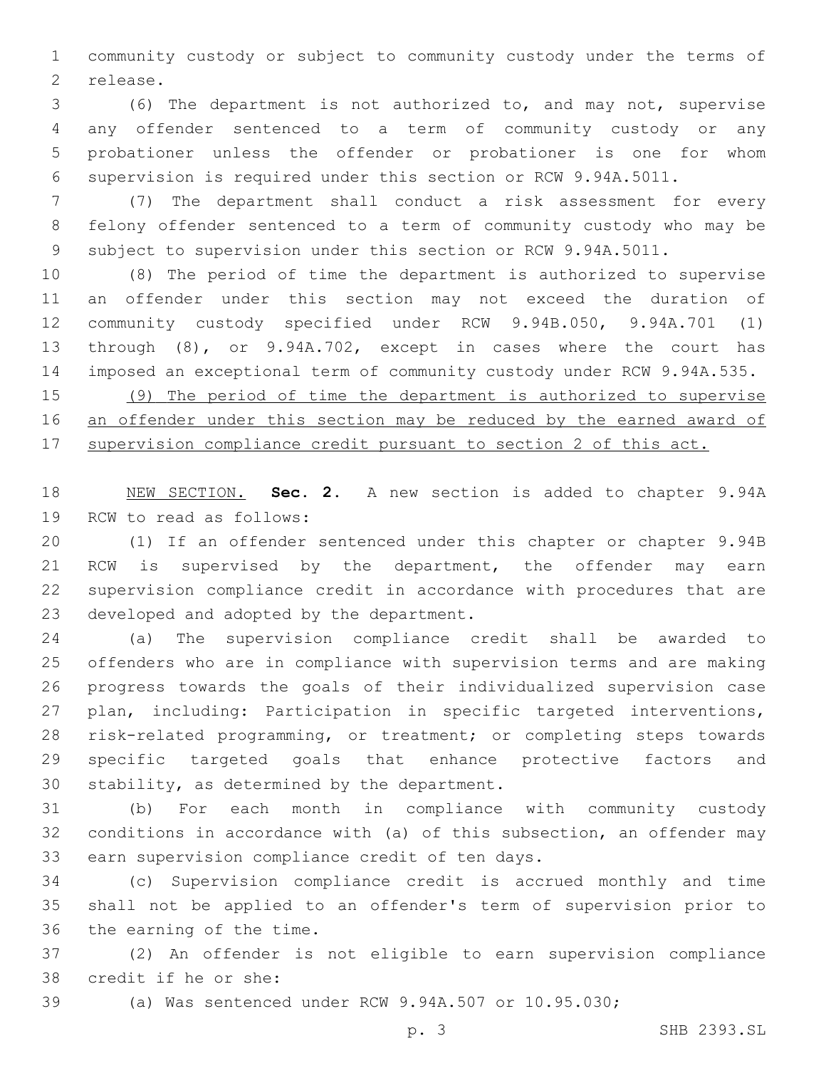community custody or subject to community custody under the terms of 2 release.

 (6) The department is not authorized to, and may not, supervise any offender sentenced to a term of community custody or any probationer unless the offender or probationer is one for whom supervision is required under this section or RCW 9.94A.5011.

 (7) The department shall conduct a risk assessment for every felony offender sentenced to a term of community custody who may be subject to supervision under this section or RCW 9.94A.5011.

 (8) The period of time the department is authorized to supervise an offender under this section may not exceed the duration of community custody specified under RCW 9.94B.050, 9.94A.701 (1) through (8), or 9.94A.702, except in cases where the court has imposed an exceptional term of community custody under RCW 9.94A.535.

 (9) The period of time the department is authorized to supervise an offender under this section may be reduced by the earned award of supervision compliance credit pursuant to section 2 of this act.

 NEW SECTION. **Sec. 2.** A new section is added to chapter 9.94A 19 RCW to read as follows:

 (1) If an offender sentenced under this chapter or chapter 9.94B 21 RCW is supervised by the department, the offender may earn supervision compliance credit in accordance with procedures that are 23 developed and adopted by the department.

 (a) The supervision compliance credit shall be awarded to offenders who are in compliance with supervision terms and are making progress towards the goals of their individualized supervision case plan, including: Participation in specific targeted interventions, risk-related programming, or treatment; or completing steps towards specific targeted goals that enhance protective factors and 30 stability, as determined by the department.

 (b) For each month in compliance with community custody conditions in accordance with (a) of this subsection, an offender may 33 earn supervision compliance credit of ten days.

 (c) Supervision compliance credit is accrued monthly and time shall not be applied to an offender's term of supervision prior to 36 the earning of the time.

 (2) An offender is not eligible to earn supervision compliance 38 credit if he or she:

(a) Was sentenced under RCW 9.94A.507 or 10.95.030;

p. 3 SHB 2393.SL